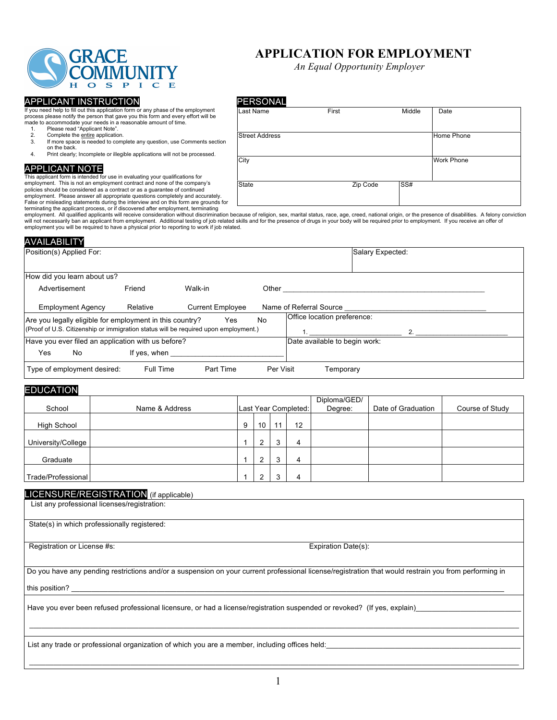

APPLICANT INSTRUCTION<br>If you need help to fill out this application form or any phase of the employment [Last Name process please notify the person that gave you this form and every effort will be made to accommodate your needs in a reasonable amount of time.

- 
- 1. Please read "Applicant Note".<br>2. Complete the entire application 2. Complete the entire application.<br>3. If more space is needed to com
- If more space is needed to complete any question, use Comments section on the back.
- 4. Print clearly; Incomplete or illegible applications will not be processed.

APPLICANT NOTE This applicant form is intended for use in evaluating your qualifications for employment. This is not an employment contract and none of the company's policies should be considered as a contract or as a guarantee of continued employment. Please answer all appropriate questions completely and accurately. False or misleading statements during the interview and on this form are grounds for terminating the applicant process, or if discovered after employment, terminating

# **APPLICATION FOR EMPLOYMENT** *An Equal Opportunity Employer*

|                                       | ENJUNAL               |          |        |                   |
|---------------------------------------|-----------------------|----------|--------|-------------------|
| ment<br>will be                       | Last Name             | First    | Middle | Date              |
| ts section<br>essed.                  | <b>Street Address</b> |          |        | Home Phone        |
|                                       | City                  |          |        | <b>Work Phone</b> |
| ny's<br>d<br>curately.<br>grounds for | <b>State</b>          | Zip Code | SS#    |                   |

employment. All qualified applicants will receive consideration without discrimination because of religion, sex, marital status, race, age, creed, national origin, or the presence of disabilities. A felony conviction<br>will employment you will be required to have a physical prior to reporting to work if job related.

### **AVAILARILITY**

| Position(s) Applied For:                                                             |              |                                |           | Salary Expected:                                       |
|--------------------------------------------------------------------------------------|--------------|--------------------------------|-----------|--------------------------------------------------------|
|                                                                                      |              |                                |           |                                                        |
| How did you learn about us?                                                          |              |                                |           |                                                        |
| Advertisement                                                                        | Friend       | Walk-in                        | Other     |                                                        |
| <b>Employment Agency</b><br>Are you legally eligible for employment in this country? | Relative     | <b>Current Employee</b><br>Yes | No        | Name of Referral Source<br>Office location preference: |
| (Proof of U.S. Citizenship or immigration status will be required upon employment.)  |              |                                |           |                                                        |
| Have you ever filed an application with us before?                                   |              |                                |           | Date available to begin work:                          |
| Yes<br>No.                                                                           | If yes, when |                                |           |                                                        |
| Type of employment desired:                                                          | Full Time    | Part Time                      | Per Visit | Temporary                                              |

### EDUCATION

| School             | Name & Address |   |    |        | Last Year Completed: | Diploma/GED/<br>Degree: | Date of Graduation | Course of Study |
|--------------------|----------------|---|----|--------|----------------------|-------------------------|--------------------|-----------------|
| <b>High School</b> |                | 9 | 10 | 11     | 12                   |                         |                    |                 |
| University/College |                |   | ີ  | ົ<br>J | 4                    |                         |                    |                 |
| Graduate           |                |   | ີ  | ິ<br>ີ | $\overline{a}$       |                         |                    |                 |
| Trade/Professional |                |   | ີ  | ◠      |                      |                         |                    |                 |

### LICENSURE/REGISTRATION (if applicable)

List any professional licenses/registration:

State(s) in which professionally registered:

Registration or License #s: Expiration Date(s): Expiration Date(s):

 Do you have any pending restrictions and/or a suspension on your current professional license/registration that would restrain you from performing in this position? \_\_\_\_\_\_\_\_\_\_\_\_\_\_\_\_\_\_\_\_\_\_\_\_\_\_\_\_\_\_\_\_\_\_\_\_\_\_\_\_\_\_\_\_\_\_\_\_\_\_\_\_\_\_\_\_\_\_\_\_\_\_\_\_\_\_\_\_\_\_\_\_\_\_\_\_\_\_\_\_\_\_\_\_\_\_\_\_\_\_\_\_\_\_\_\_\_\_\_\_\_\_\_\_\_\_\_

Have you ever been refused professional licensure, or had a license/registration suspended or revoked? (If yes, explain)

List any trade or professional organization of which you are a member, including offices held:

 $\ldots$  . The contribution of the contribution of the contribution of the contribution of the contribution of the contribution of the contribution of the contribution of the contribution of the contribution of the contribut

 $\mathcal{L}_\mathcal{L} = \{ \mathcal{L}_\mathcal{L} = \{ \mathcal{L}_\mathcal{L} = \{ \mathcal{L}_\mathcal{L} = \{ \mathcal{L}_\mathcal{L} = \{ \mathcal{L}_\mathcal{L} = \{ \mathcal{L}_\mathcal{L} = \{ \mathcal{L}_\mathcal{L} = \{ \mathcal{L}_\mathcal{L} = \{ \mathcal{L}_\mathcal{L} = \{ \mathcal{L}_\mathcal{L} = \{ \mathcal{L}_\mathcal{L} = \{ \mathcal{L}_\mathcal{L} = \{ \mathcal{L}_\mathcal{L} = \{ \mathcal{L}_\mathcal{$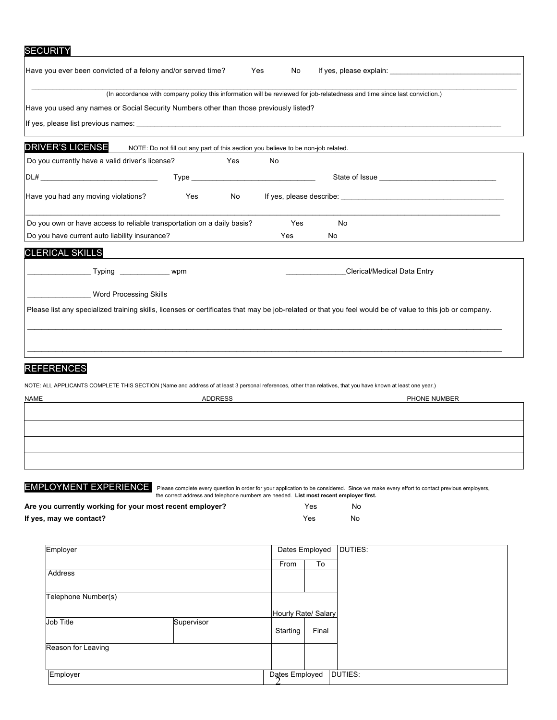# **SECURITY**

| <b>DRIVER'S LICENSE</b> |                                                                        |     |     | NOTE: Do not fill out any part of this section you believe to be non-job related.<br><b>No</b> |                                                                                                                                                                                                                                |
|-------------------------|------------------------------------------------------------------------|-----|-----|------------------------------------------------------------------------------------------------|--------------------------------------------------------------------------------------------------------------------------------------------------------------------------------------------------------------------------------|
|                         | Do you currently have a valid driver's license?                        |     | Yes |                                                                                                |                                                                                                                                                                                                                                |
|                         | Have you had any moving violations?                                    | Yes | No  |                                                                                                | If yes, please describe: and the state of the state of the state of the state of the state of the state of the state of the state of the state of the state of the state of the state of the state of the state of the state o |
|                         | Do you own or have access to reliable transportation on a daily basis? |     |     | Yes                                                                                            | <b>No</b>                                                                                                                                                                                                                      |
|                         | Do you have current auto liability insurance?                          |     |     | Yes                                                                                            | No.                                                                                                                                                                                                                            |
| <b>CLERICAL SKILLS</b>  |                                                                        |     |     |                                                                                                |                                                                                                                                                                                                                                |
|                         | Typing wpm                                                             |     |     |                                                                                                | Clerical/Medical Data Entry                                                                                                                                                                                                    |
|                         | Word Processing Skills                                                 |     |     |                                                                                                |                                                                                                                                                                                                                                |
|                         |                                                                        |     |     |                                                                                                | Please list any specialized training skills, licenses or certificates that may be job-related or that you feel would be of value to this job or company.                                                                       |
|                         |                                                                        |     |     |                                                                                                |                                                                                                                                                                                                                                |

**EMPLOYMENT EXPERIENCE** Please complete every question in order for your application to be considered. Since we make every effort to contact previous employers,<br>the correct address and telephone numbers are needed. List mo

| Are you currently working for your most recent employer? | Yes | No |
|----------------------------------------------------------|-----|----|
| If yes, may we contact?                                  | Yes | No |

| Employer            |            |                | Dates Employed      | DUTIES: |
|---------------------|------------|----------------|---------------------|---------|
|                     |            | From           | To                  |         |
| Address             |            |                |                     |         |
|                     |            |                |                     |         |
| Telephone Number(s) |            |                |                     |         |
|                     |            |                | Hourly Rate/ Salary |         |
| Job Title           | Supervisor | Starting       | Final               |         |
| Reason for Leaving  |            |                |                     |         |
|                     |            |                |                     |         |
| Employer            |            | Dates Employed |                     | DUTIES: |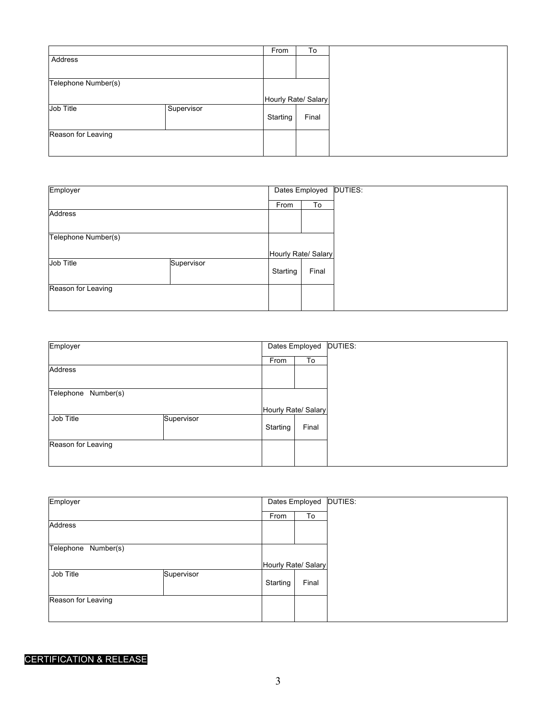|                     |            | From     | To                  |
|---------------------|------------|----------|---------------------|
| Address             |            |          |                     |
|                     |            |          |                     |
| Telephone Number(s) |            |          |                     |
|                     |            |          | Hourly Rate/ Salary |
| Job Title           | Supervisor | Starting | Final               |
| Reason for Leaving  |            |          |                     |
|                     |            |          |                     |

| Employer            |            |                     | Dates Employed | DUTIES: |
|---------------------|------------|---------------------|----------------|---------|
|                     |            | From                | To             |         |
| <b>Address</b>      |            |                     |                |         |
|                     |            |                     |                |         |
| Telephone Number(s) |            |                     |                |         |
|                     |            | Hourly Rate/ Salary |                |         |
| Job Title           | Supervisor | Starting            | Final          |         |
| Reason for Leaving  |            |                     |                |         |
|                     |            |                     |                |         |

| Employer            |            |                     | Dates Employed DUTIES: |  |
|---------------------|------------|---------------------|------------------------|--|
|                     |            | From                | To                     |  |
| <b>Address</b>      |            |                     |                        |  |
|                     |            |                     |                        |  |
| Telephone Number(s) |            |                     |                        |  |
|                     |            | Hourly Rate/ Salary |                        |  |
| Job Title           | Supervisor | Starting            | Final                  |  |
| Reason for Leaving  |            |                     |                        |  |
|                     |            |                     |                        |  |

| Employer            |            |                     | Dates Employed DUTIES: |  |
|---------------------|------------|---------------------|------------------------|--|
|                     |            | From                | To                     |  |
| <b>Address</b>      |            |                     |                        |  |
|                     |            |                     |                        |  |
| Telephone Number(s) |            |                     |                        |  |
|                     |            | Hourly Rate/ Salary |                        |  |
| Job Title           | Supervisor | Starting            | Final                  |  |
| Reason for Leaving  |            |                     |                        |  |
|                     |            |                     |                        |  |

# CERTIFICATION & RELEASE